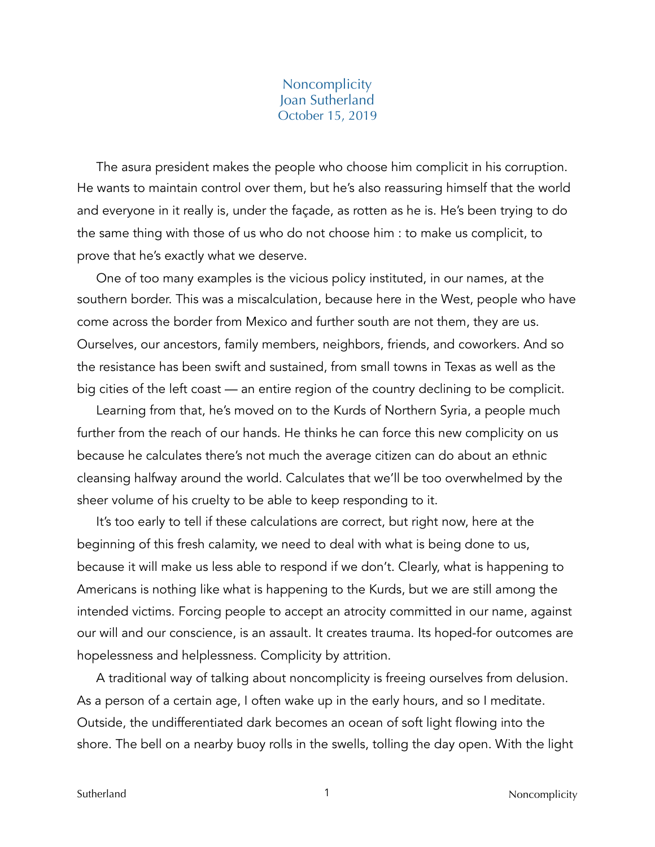## **Noncomplicity** Joan Sutherland October 15, 2019

The asura president makes the people who choose him complicit in his corruption. He wants to maintain control over them, but he's also reassuring himself that the world and everyone in it really is, under the façade, as rotten as he is. He's been trying to do the same thing with those of us who do not choose him : to make us complicit, to prove that he's exactly what we deserve.

One of too many examples is the vicious policy instituted, in our names, at the southern border. This was a miscalculation, because here in the West, people who have come across the border from Mexico and further south are not them, they are us. Ourselves, our ancestors, family members, neighbors, friends, and coworkers. And so the resistance has been swift and sustained, from small towns in Texas as well as the big cities of the left coast — an entire region of the country declining to be complicit.

Learning from that, he's moved on to the Kurds of Northern Syria, a people much further from the reach of our hands. He thinks he can force this new complicity on us because he calculates there's not much the average citizen can do about an ethnic cleansing halfway around the world. Calculates that we'll be too overwhelmed by the sheer volume of his cruelty to be able to keep responding to it.

It's too early to tell if these calculations are correct, but right now, here at the beginning of this fresh calamity, we need to deal with what is being done to us, because it will make us less able to respond if we don't. Clearly, what is happening to Americans is nothing like what is happening to the Kurds, but we are still among the intended victims. Forcing people to accept an atrocity committed in our name, against our will and our conscience, is an assault. It creates trauma. Its hoped-for outcomes are hopelessness and helplessness. Complicity by attrition.

A traditional way of talking about noncomplicity is freeing ourselves from delusion. As a person of a certain age, I often wake up in the early hours, and so I meditate. Outside, the undifferentiated dark becomes an ocean of soft light flowing into the shore. The bell on a nearby buoy rolls in the swells, tolling the day open. With the light